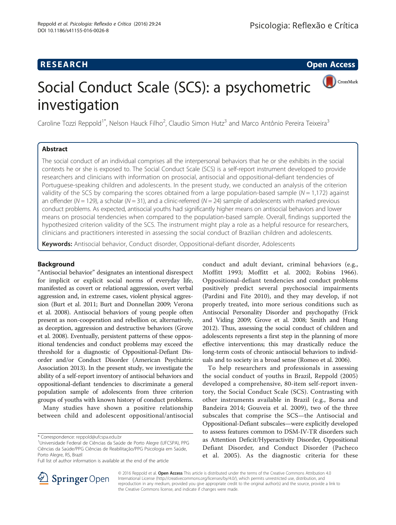# **RESEARCH CHE Open Access**

CrossMark

# Social Conduct Scale (SCS): a psychometric investigation

Caroline Tozzi Reppold<sup>1\*</sup>, Nelson Hauck Filho<sup>2</sup>, Claudio Simon Hutz<sup>3</sup> and Marco Antônio Pereira Teixeira<sup>3</sup>

# Abstract

The social conduct of an individual comprises all the interpersonal behaviors that he or she exhibits in the social contexts he or she is exposed to. The Social Conduct Scale (SCS) is a self-report instrument developed to provide researchers and clinicians with information on prosocial, antisocial and oppositional-defiant tendencies of Portuguese-speaking children and adolescents. In the present study, we conducted an analysis of the criterion validity of the SCS by comparing the scores obtained from a large population-based sample  $(N = 1,172)$  against an offender ( $N = 129$ ), a scholar ( $N = 31$ ), and a clinic-referred ( $N = 24$ ) sample of adolescents with marked previous conduct problems. As expected, antisocial youths had significantly higher means on antisocial behaviors and lower means on prosocial tendencies when compared to the population-based sample. Overall, findings supported the hypothesized criterion validity of the SCS. The instrument might play a role as a helpful resource for researchers, clinicians and practitioners interested in assessing the social conduct of Brazilian children and adolescents.

Keywords: Antisocial behavior, Conduct disorder, Oppositional-defiant disorder, Adolescents

# Background

"Antisocial behavior" designates an intentional disrespect for implicit or explicit social norms of everyday life, manifested as covert or relational aggression, overt verbal aggression and, in extreme cases, violent physical aggression (Burt et al. [2011;](#page-3-0) Burt and Donnellan [2009](#page-3-0); Verona et al. [2008](#page-3-0)). Antisocial behaviors of young people often present as non-cooperation and rebellion or, alternatively, as deception, aggression and destructive behaviors (Grove et al. [2008](#page-3-0)). Eventually, persistent patterns of these oppositional tendencies and conduct problems may exceed the threshold for a diagnostic of Oppositional-Defiant Disorder and/or Conduct Disorder (American Psychiatric Association [2013](#page-3-0)). In the present study, we investigate the ability of a self-report inventory of antisocial behaviors and oppositional-defiant tendencies to discriminate a general population sample of adolescents from three criterion groups of youths with known history of conduct problems.

Many studies have shown a positive relationship between child and adolescent oppositional/antisocial conduct and adult deviant, criminal behaviors (e.g., Moffitt [1993](#page-3-0); Moffitt et al. [2002](#page-3-0); Robins [1966](#page-3-0)). Oppositional-defiant tendencies and conduct problems positively predict several psychosocial impairments (Pardini and Fite [2010](#page-3-0)), and they may develop, if not properly treated, into more serious conditions such as Antisocial Personality Disorder and psychopathy (Frick and Viding [2009](#page-3-0); Grove et al. [2008](#page-3-0); Smith and Hung [2012\)](#page-3-0). Thus, assessing the social conduct of children and adolescents represents a first step in the planning of more effective interventions; this may drastically reduce the long-term costs of chronic antisocial behaviors to individuals and to society in a broad sense (Romeo et al. [2006](#page-3-0)).

To help researchers and professionals in assessing the social conduct of youths in Brazil, Reppold ([2005](#page-3-0)) developed a comprehensive, 80-item self-report inventory, the Social Conduct Scale (SCS). Contrasting with other instruments available in Brazil (e.g., Borsa and Bandeira [2014](#page-3-0); Gouveia et al. [2009\)](#page-3-0), two of the three subscales that comprise the SCS—the Antisocial and Oppositional-Defiant subscales—were explicitly developed to assess features common to DSM-IV-TR disorders such as Attention Deficit/Hyperactivity Disorder, Oppositional Defiant Disorder, and Conduct Disorder (Pacheco et al. [2005](#page-3-0)). As the diagnostic criteria for these



© 2016 Reppold et al. Open Access This article is distributed under the terms of the Creative Commons Attribution 4.0 International License ([http://creativecommons.org/licenses/by/4.0/\)](http://creativecommons.org/licenses/by/4.0/), which permits unrestricted use, distribution, and reproduction in any medium, provided you give appropriate credit to the original author(s) and the source, provide a link to the Creative Commons license, and indicate if changes were made.

<sup>\*</sup> Correspondence: [reppold@ufcspa.edu.br](mailto:reppold@ufcspa.edu.br) <sup>1</sup>

Universidade Federal de Ciências da Saúde de Porto Alegre (UFCSPA), PPG Ciências da Saúde/PPG Ciências de Reabilitação/PPG Psicologia em Saúde, Porto Alegre, RS, Brazil

Full list of author information is available at the end of the article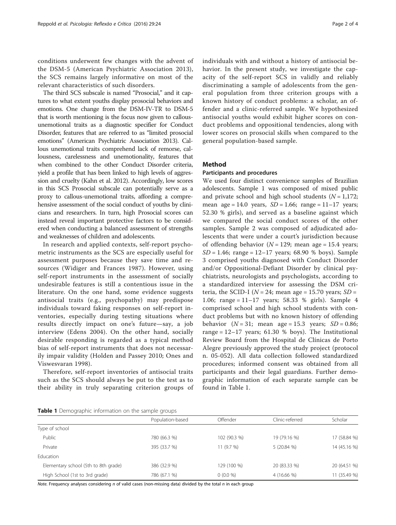conditions underwent few changes with the advent of the DSM-5 (American Psychiatric Association [2013](#page-3-0)), the SCS remains largely informative on most of the relevant characteristics of such disorders.

The third SCS subscale is named "Prosocial," and it captures to what extent youths display prosocial behaviors and emotions. One change from the DSM-IV-TR to DSM-5 that is worth mentioning is the focus now given to callousunemotional traits as a diagnostic specifier for Conduct Disorder, features that are referred to as "limited prosocial emotions" (American Psychiatric Association [2013\)](#page-3-0). Callous unemotional traits comprehend lack of remorse, callousness, carelessness and unemotionality, features that when combined to the other Conduct Disorder criteria, yield a profile that has been linked to high levels of aggression and cruelty (Kahn et al. [2012\)](#page-3-0). Accordingly, low scores in this SCS Prosocial subscale can potentially serve as a proxy to callous-unemotional traits, affording a comprehensive assessment of the social conduct of youths by clinicians and researchers. In turn, high Prosocial scores can instead reveal important protective factors to be considered when conducting a balanced assessment of strengths and weaknesses of children and adolescents.

In research and applied contexts, self-report psychometric instruments as the SCS are especially useful for assessment purposes because they save time and resources (Widiger and Frances [1987](#page-3-0)). However, using self-report instruments in the assessment of socially undesirable features is still a contentious issue in the literature. On the one hand, some evidence suggests antisocial traits (e.g., psychopathy) may predispose individuals toward faking responses on self-report inventories, especially during testing situations where results directly impact on one's future—say, a job interview (Edens [2004](#page-3-0)). On the other hand, socially desirable responding is regarded as a typical method bias of self-report instruments that does not necessarily impair validity (Holden and Passey [2010](#page-3-0); Ones and Viswesvaran [1998\)](#page-3-0).

Therefore, self-report inventories of antisocial traits such as the SCS should always be put to the test as to their ability in truly separating criterion groups of individuals with and without a history of antisocial behavior. In the present study, we investigate the capacity of the self-report SCS in validly and reliably discriminating a sample of adolescents from the general population from three criterion groups with a known history of conduct problems: a scholar, an offender and a clinic-referred sample. We hypothesized antisocial youths would exhibit higher scores on conduct problems and oppositional tendencies, along with lower scores on prosocial skills when compared to the general population-based sample.

## Method

#### Participants and procedures

We used four distinct convenience samples of Brazilian adolescents. Sample 1 was composed of mixed public and private school and high school students  $(N = 1,172;$ mean age = 14.0 years,  $SD = 1.66$ ; range = 11–17 years; 52.30 % girls), and served as a baseline against which we compared the social conduct scores of the other samples. Sample 2 was composed of adjudicated adolescents that were under a court's jurisdiction because of offending behavior ( $N = 129$ ; mean age = 15.4 years;  $SD = 1.46$ ; range = 12-17 years; 68.90 % boys). Sample 3 comprised youths diagnosed with Conduct Disorder and/or Oppositional-Defiant Disorder by clinical psychiatrists, neurologists and psychologists, according to a standardized interview for assessing the DSM criteria, the SCID-I ( $N = 24$ ; mean age = 15.70 years;  $SD =$ 1.06; range = 11–17 years; 58.33 % girls). Sample 4 comprised school and high school students with conduct problems but with no known history of offending behavior  $(N = 31;$  mean age = 15.3 years;  $SD = 0.86;$ range =  $12-17$  years; 61.30 % boys). The Institutional Review Board from the Hospital de Clínicas de Porto Alegre previously approved the study project (protocol n. 05-052). All data collection followed standardized procedures; informed consent was obtained from all participants and their legal guardians. Further demographic information of each separate sample can be found in Table 1.

Table 1 Demographic information on the sample groups

|                                      | Population-based | Offender     | Clinic-referred | Scholar      |
|--------------------------------------|------------------|--------------|-----------------|--------------|
| Type of school                       |                  |              |                 |              |
| Public                               | 780 (66.3 %)     | 102 (90.3 %) | 19 (79.16 %)    | 17 (58.84 %) |
| Private                              | 395 (33.7 %)     | 11 (9.7 %)   | $5(20.84\%)$    | 14 (45.16 %) |
| <b>Education</b>                     |                  |              |                 |              |
| Elementary school (5th to 8th grade) | 386 (32.9 %)     | 129 (100 %)  | 20 (83.33 %)    | 20 (64.51 %) |
| High School (1st to 3rd grade)       | 786 (67.1 %)     | $0(0.0\%)$   | $4(16.66\%)$    | 11 (35.49 %) |

Note. Frequency analyses considering  $n$  of valid cases (non-missing data) divided by the total  $n$  in each group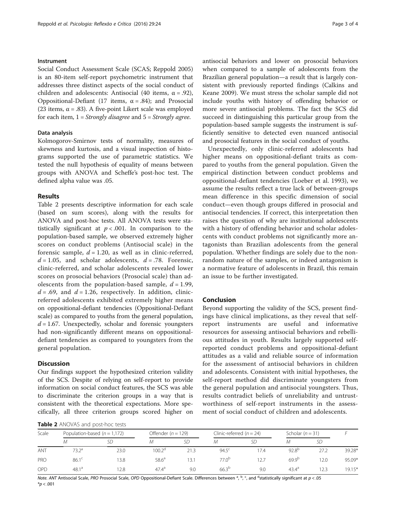### Instrument

Social Conduct Assessment Scale (SCAS; Reppold [2005](#page-3-0)) is an 80-item self-report psychometric instrument that addresses three distinct aspects of the social conduct of children and adolescents: Antisocial (40 items,  $\alpha = .92$ ), Oppositional-Defiant (17 items,  $\alpha = .84$ ); and Prosocial (23 items,  $\alpha$  = .83). A five-point Likert scale was employed for each item,  $1 =$  Strongly disagree and  $5 =$  Strongly agree.

## Data analysis

Kolmogorov-Smirnov tests of normality, measures of skewness and kurtosis, and a visual inspection of histograms supported the use of parametric statistics. We tested the null hypothesis of equality of means between groups with ANOVA and Scheffe's post-hoc test. The defined alpha value was .05.

#### Results

Table 2 presents descriptive information for each scale (based on sum scores), along with the results for ANOVA and post-hoc tests. All ANOVA tests were statistically significant at  $p < .001$ . In comparison to the population-based sample, we observed extremely higher scores on conduct problems (Antisocial scale) in the forensic sample,  $d = 1.20$ , as well as in clinic-referred,  $d = 1.05$ , and scholar adolescents,  $d = .78$ . Forensic, clinic-referred, and scholar adolescents revealed lower scores on prosocial behaviors (Prosocial scale) than adolescents from the population-based sample,  $d = 1.99$ ,  $d = .69$ , and  $d = 1.26$ , respectively. In addition, clinicreferred adolescents exhibited extremely higher means on oppositional-defiant tendencies (Oppositional-Defiant scale) as compared to youths from the general population,  $d = 1.67$ . Unexpectedly, scholar and forensic youngsters had non-significantly different means on oppositionaldefiant tendencies as compared to youngsters from the general population.

#### **Discussion**

Our findings support the hypothesized criterion validity of the SCS. Despite of relying on self-report to provide information on social conduct features, the SCS was able to discriminate the criterion groups in a way that is consistent with the theoretical expectations. More specifically, all three criterion groups scored higher on

Table 2 ANOVAS and post-hoc tests

antisocial behaviors and lower on prosocial behaviors when compared to a sample of adolescents from the Brazilian general population—a result that is largely consistent with previously reported findings (Calkins and Keane [2009\)](#page-3-0). We must stress the scholar sample did not include youths with history of offending behavior or more severe antisocial problems. The fact the SCS did succeed in distinguishing this particular group from the population-based sample suggests the instrument is sufficiently sensitive to detected even nuanced antisocial and prosocial features in the social conduct of youths.

Unexpectedly, only clinic-referred adolescents had higher means on oppositional-defiant traits as compared to youths from the general population. Given the empirical distinction between conduct problems and oppositional-defiant tendencies (Loeber et al. [1993](#page-3-0)), we assume the results reflect a true lack of between-groups mean difference in this specific dimension of social conduct—even though groups differed in prosocial and antisocial tendencies. If correct, this interpretation then raises the question of why are institutional adolescents with a history of offending behavior and scholar adolescents with conduct problems not significantly more antagonists than Brazilian adolescents from the general population. Whether findings are solely due to the nonrandom nature of the samples, or indeed antagonism is a normative feature of adolescents in Brazil, this remain an issue to be further investigated.

# Conclusion

Beyond supporting the validity of the SCS, present findings have clinical implications, as they reveal that selfreport instruments are useful and informative resources for assessing antisocial behaviors and rebellious attitudes in youth. Results largely supported selfreported conduct problems and oppositional-defiant attitudes as a valid and reliable source of information for the assessment of antisocial behaviors in children and adolescents. Consistent with initial hypotheses, the self-report method did discriminate youngsters from the general population and antisocial youngsters. Thus, results contradict beliefs of unreliability and untrustworthiness of self-report instruments in the assessment of social conduct of children and adolescents.

| Scale      | Population-based $(n = 1.172)$ |      | Offender ( $n = 129$ ) |      | Clinic-referred $(n = 24)$ |      | Scholar $(n=31)$ |      |          |
|------------|--------------------------------|------|------------------------|------|----------------------------|------|------------------|------|----------|
|            | М                              | SD   | М                      | SD   | M                          | SD   |                  | SD   |          |
| <b>ANT</b> | 72 J <sup>d</sup>              | 23.0 | $100.2^{\circ}$        | 21.3 | $94.5^{\circ}$             | 17.4 | $92.8^{p}$       | 27.2 | 39.28*   |
| <b>PRO</b> | $86.1^{\circ}$                 | 13.8 | 58.6 <sup>a</sup>      | 13.1 | $77.0^{\circ}$             | 12.7 | $69.9^{b}$       | 12.0 | 95.09*   |
| OPD        | $48.1^{\circ}$                 | '2.8 | $47.4^{\circ}$         | 9.0  | $66.3^{b}$                 | 9.0  | $43.4^{\circ}$   | 12.3 | $19.15*$ |

Note. ANT Antisocial Scale, PRO Prosocial Scale, OPD Oppositional-Defiant Scale. Differences between <sup>a, b, c</sup>, and <sup>d</sup>statistically significant at  $p$  < .05<br>\*n < 001  $*p < .001$